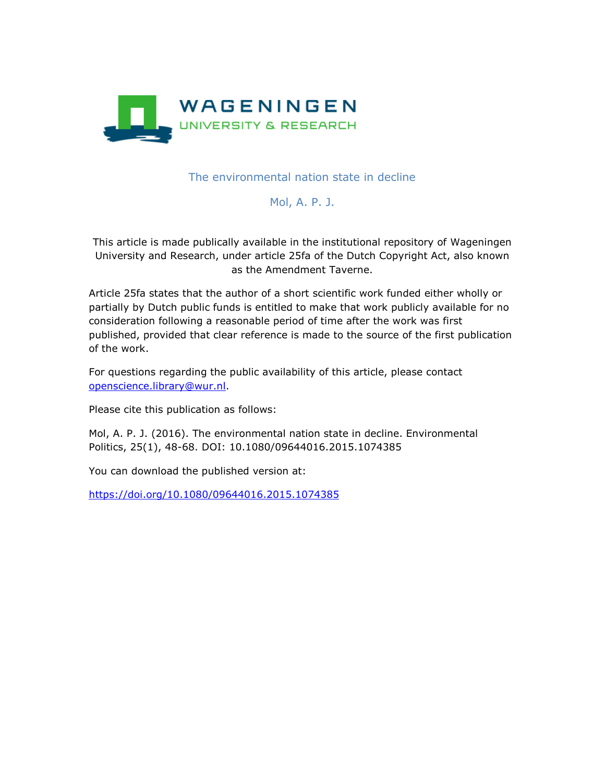

The environmental nation state in decline

# Mol, A. P. J.

This article is made publically available in the institutional repository of Wageningen University and Research, under article 25fa of the Dutch Copyright Act, also known as the Amendment Taverne.

Article 25fa states that the author of a short scientific work funded either wholly or partially by Dutch public funds is entitled to make that work publicly available for no consideration following a reasonable period of time after the work was first published, provided that clear reference is made to the source of the first publication of the work.

For questions regarding the public availability of this article, please contact [openscience.library@wur.nl.](mailto:openscience.library@wur.nl)

Please cite this publication as follows:

Mol, A. P. J. (2016). The environmental nation state in decline. Environmental Politics, 25(1), 48-68. DOI: 10.1080/09644016.2015.1074385

You can download the published version at:

<https://doi.org/10.1080/09644016.2015.1074385>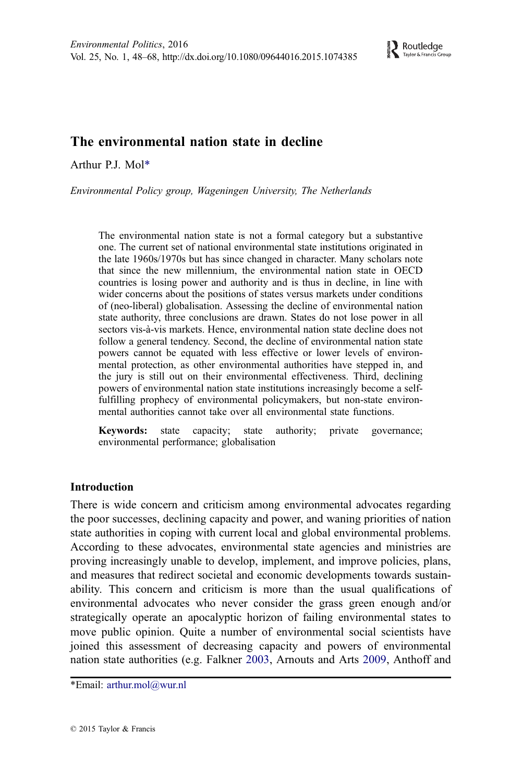## The environmental nation state in decline

Arthur P.J. Mol\*

Environmental Policy group, Wageningen University, The Netherlands

The environmental nation state is not a formal category but a substantive one. The current set of national environmental state institutions originated in the late 1960s/1970s but has since changed in character. Many scholars note that since the new millennium, the environmental nation state in OECD countries is losing power and authority and is thus in decline, in line with wider concerns about the positions of states versus markets under conditions of (neo-liberal) globalisation. Assessing the decline of environmental nation state authority, three conclusions are drawn. States do not lose power in all sectors vis-à-vis markets. Hence, environmental nation state decline does not follow a general tendency. Second, the decline of environmental nation state powers cannot be equated with less effective or lower levels of environmental protection, as other environmental authorities have stepped in, and the jury is still out on their environmental effectiveness. Third, declining powers of environmental nation state institutions increasingly become a selffulfilling prophecy of environmental policymakers, but non-state environmental authorities cannot take over all environmental state functions.

Keywords: state capacity; state authority; private governance; environmental performance; globalisation

## Introduction

There is wide concern and criticism among environmental advocates regarding the poor successes, declining capacity and power, and waning priorities of nation state authorities in coping with current local and global environmental problems. According to these advocates, environmental state agencies and ministries are proving increasingly unable to develop, implement, and improve policies, plans, and measures that redirect societal and economic developments towards sustainability. This concern and criticism is more than the usual qualifications of environmental advocates who never consider the grass green enough and/or strategically operate an apocalyptic horizon of failing environmental states to move public opinion. Quite a number of environmental social scientists have joined this assessment of decreasing capacity and powers of environmental nation state authorities (e.g. Falkner [2003,](#page-18-0) Arnouts and Arts [2009,](#page-18-0) Anthoff and

\*Email: arthur.mol@wur.nl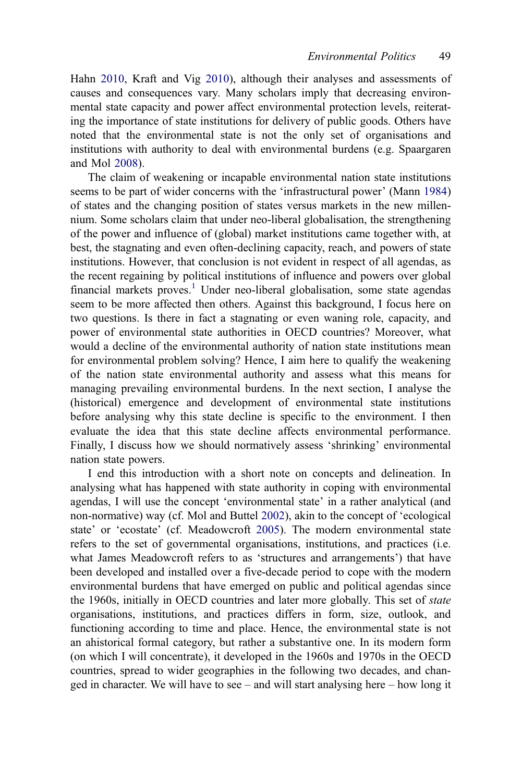Hahn [2010](#page-17-0), Kraft and Vig [2010](#page-19-0)), although their analyses and assessments of causes and consequences vary. Many scholars imply that decreasing environmental state capacity and power affect environmental protection levels, reiterating the importance of state institutions for delivery of public goods. Others have noted that the environmental state is not the only set of organisations and institutions with authority to deal with environmental burdens (e.g. Spaargaren and Mol [2008](#page-21-0)).

The claim of weakening or incapable environmental nation state institutions seems to be part of wider concerns with the 'infrastructural power' (Mann [1984](#page-19-0)) of states and the changing position of states versus markets in the new millennium. Some scholars claim that under neo-liberal globalisation, the strengthening of the power and influence of (global) market institutions came together with, at best, the stagnating and even often-declining capacity, reach, and powers of state institutions. However, that conclusion is not evident in respect of all agendas, as the recent regaining by political institutions of influence and powers over global financial markets proves.<sup>[1](#page-17-0)</sup> Under neo-liberal globalisation, some state agendas seem to be more affected then others. Against this background, I focus here on two questions. Is there in fact a stagnating or even waning role, capacity, and power of environmental state authorities in OECD countries? Moreover, what would a decline of the environmental authority of nation state institutions mean for environmental problem solving? Hence, I aim here to qualify the weakening of the nation state environmental authority and assess what this means for managing prevailing environmental burdens. In the next section, I analyse the (historical) emergence and development of environmental state institutions before analysing why this state decline is specific to the environment. I then evaluate the idea that this state decline affects environmental performance. Finally, I discuss how we should normatively assess 'shrinking' environmental nation state powers.

I end this introduction with a short note on concepts and delineation. In analysing what has happened with state authority in coping with environmental agendas, I will use the concept 'environmental state' in a rather analytical (and non-normative) way (cf. Mol and Buttel [2002\)](#page-20-0), akin to the concept of 'ecological state' or 'ecostate' (cf. Meadowcroft [2005](#page-20-0)). The modern environmental state refers to the set of governmental organisations, institutions, and practices (i.e. what James Meadowcroft refers to as 'structures and arrangements') that have been developed and installed over a five-decade period to cope with the modern environmental burdens that have emerged on public and political agendas since the 1960s, initially in OECD countries and later more globally. This set of *state* organisations, institutions, and practices differs in form, size, outlook, and functioning according to time and place. Hence, the environmental state is not an ahistorical formal category, but rather a substantive one. In its modern form (on which I will concentrate), it developed in the 1960s and 1970s in the OECD countries, spread to wider geographies in the following two decades, and changed in character. We will have to see – and will start analysing here – how long it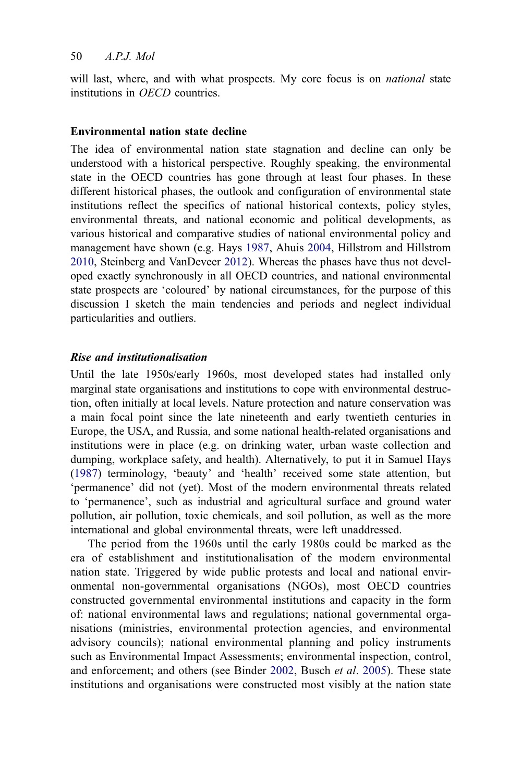will last, where, and with what prospects. My core focus is on *national* state institutions in OECD countries.

### Environmental nation state decline

The idea of environmental nation state stagnation and decline can only be understood with a historical perspective. Roughly speaking, the environmental state in the OECD countries has gone through at least four phases. In these different historical phases, the outlook and configuration of environmental state institutions reflect the specifics of national historical contexts, policy styles, environmental threats, and national economic and political developments, as various historical and comparative studies of national environmental policy and management have shown (e.g. Hays [1987](#page-19-0), Ahuis [2004,](#page-17-0) Hillstrom and Hillstrom [2010,](#page-19-0) Steinberg and VanDeveer [2012](#page-21-0)). Whereas the phases have thus not developed exactly synchronously in all OECD countries, and national environmental state prospects are 'coloured' by national circumstances, for the purpose of this discussion I sketch the main tendencies and periods and neglect individual particularities and outliers.

#### Rise and institutionalisation

Until the late 1950s/early 1960s, most developed states had installed only marginal state organisations and institutions to cope with environmental destruction, often initially at local levels. Nature protection and nature conservation was a main focal point since the late nineteenth and early twentieth centuries in Europe, the USA, and Russia, and some national health-related organisations and institutions were in place (e.g. on drinking water, urban waste collection and dumping, workplace safety, and health). Alternatively, to put it in Samuel Hays ([1987\)](#page-19-0) terminology, 'beauty' and 'health' received some state attention, but 'permanence' did not (yet). Most of the modern environmental threats related to 'permanence', such as industrial and agricultural surface and ground water pollution, air pollution, toxic chemicals, and soil pollution, as well as the more international and global environmental threats, were left unaddressed.

The period from the 1960s until the early 1980s could be marked as the era of establishment and institutionalisation of the modern environmental nation state. Triggered by wide public protests and local and national environmental non-governmental organisations (NGOs), most OECD countries constructed governmental environmental institutions and capacity in the form of: national environmental laws and regulations; national governmental organisations (ministries, environmental protection agencies, and environmental advisory councils); national environmental planning and policy instruments such as Environmental Impact Assessments; environmental inspection, control, and enforcement; and others (see Binder [2002](#page-18-0), Busch et al. [2005\)](#page-18-0). These state institutions and organisations were constructed most visibly at the nation state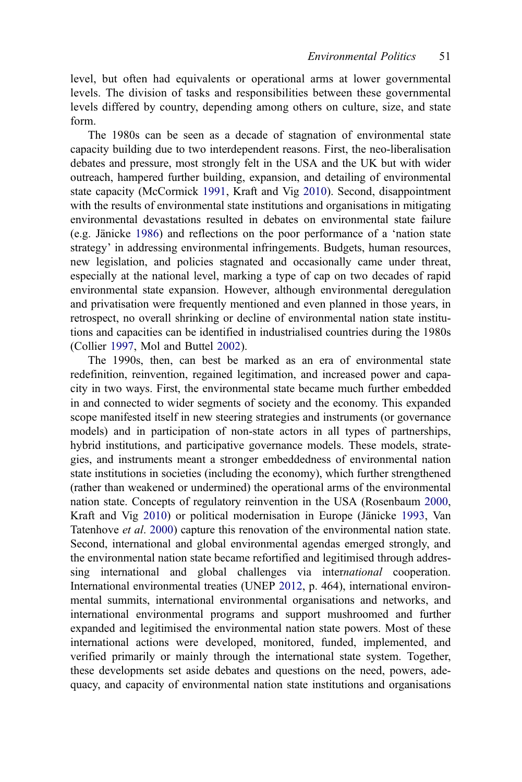level, but often had equivalents or operational arms at lower governmental levels. The division of tasks and responsibilities between these governmental levels differed by country, depending among others on culture, size, and state form.

The 1980s can be seen as a decade of stagnation of environmental state capacity building due to two interdependent reasons. First, the neo-liberalisation debates and pressure, most strongly felt in the USA and the UK but with wider outreach, hampered further building, expansion, and detailing of environmental state capacity (McCormick [1991,](#page-20-0) Kraft and Vig [2010](#page-19-0)). Second, disappointment with the results of environmental state institutions and organisations in mitigating environmental devastations resulted in debates on environmental state failure (e.g. Jänicke [1986\)](#page-19-0) and reflections on the poor performance of a 'nation state strategy' in addressing environmental infringements. Budgets, human resources, new legislation, and policies stagnated and occasionally came under threat, especially at the national level, marking a type of cap on two decades of rapid environmental state expansion. However, although environmental deregulation and privatisation were frequently mentioned and even planned in those years, in retrospect, no overall shrinking or decline of environmental nation state institutions and capacities can be identified in industrialised countries during the 1980s (Collier [1997](#page-18-0), Mol and Buttel [2002](#page-20-0)).

The 1990s, then, can best be marked as an era of environmental state redefinition, reinvention, regained legitimation, and increased power and capacity in two ways. First, the environmental state became much further embedded in and connected to wider segments of society and the economy. This expanded scope manifested itself in new steering strategies and instruments (or governance models) and in participation of non-state actors in all types of partnerships, hybrid institutions, and participative governance models. These models, strategies, and instruments meant a stronger embeddedness of environmental nation state institutions in societies (including the economy), which further strengthened (rather than weakened or undermined) the operational arms of the environmental nation state. Concepts of regulatory reinvention in the USA (Rosenbaum [2000,](#page-20-0) Kraft and Vig [2010\)](#page-19-0) or political modernisation in Europe (Jänicke [1993](#page-19-0), Van Tatenhove et al. [2000](#page-21-0)) capture this renovation of the environmental nation state. Second, international and global environmental agendas emerged strongly, and the environmental nation state became refortified and legitimised through addressing international and global challenges via international cooperation. International environmental treaties (UNEP [2012](#page-21-0), p. 464), international environmental summits, international environmental organisations and networks, and international environmental programs and support mushroomed and further expanded and legitimised the environmental nation state powers. Most of these international actions were developed, monitored, funded, implemented, and verified primarily or mainly through the international state system. Together, these developments set aside debates and questions on the need, powers, adequacy, and capacity of environmental nation state institutions and organisations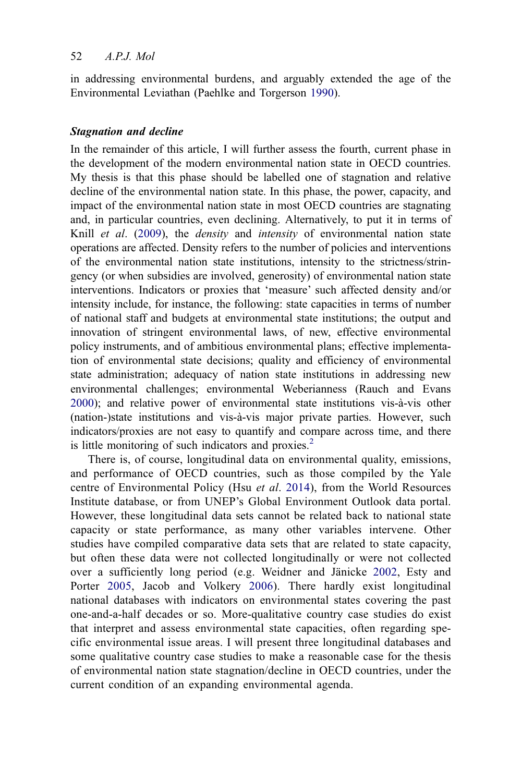in addressing environmental burdens, and arguably extended the age of the Environmental Leviathan (Paehlke and Torgerson [1990](#page-20-0)).

## Stagnation and decline

In the remainder of this article, I will further assess the fourth, current phase in the development of the modern environmental nation state in OECD countries. My thesis is that this phase should be labelled one of stagnation and relative decline of the environmental nation state. In this phase, the power, capacity, and impact of the environmental nation state in most OECD countries are stagnating and, in particular countries, even declining. Alternatively, to put it in terms of Knill *et al.* ([2009\)](#page-19-0), the *density* and *intensity* of environmental nation state operations are affected. Density refers to the number of policies and interventions of the environmental nation state institutions, intensity to the strictness/stringency (or when subsidies are involved, generosity) of environmental nation state interventions. Indicators or proxies that 'measure' such affected density and/or intensity include, for instance, the following: state capacities in terms of number of national staff and budgets at environmental state institutions; the output and innovation of stringent environmental laws, of new, effective environmental policy instruments, and of ambitious environmental plans; effective implementation of environmental state decisions; quality and efficiency of environmental state administration; adequacy of nation state institutions in addressing new environmental challenges; environmental Weberianness (Rauch and Evans [2000\)](#page-20-0); and relative power of environmental state institutions vis-à-vis other (nation-)state institutions and vis-à-vis major private parties. However, such indicators/proxies are not easy to quantify and compare across time, and there is little monitoring of such indicators and proxies. $<sup>2</sup>$  $<sup>2</sup>$  $<sup>2</sup>$ </sup>

There is, of course, longitudinal data on environmental quality, emissions, and performance of OECD countries, such as those compiled by the Yale centre of Environmental Policy (Hsu et al. [2014\)](#page-19-0), from the World Resources Institute database, or from UNEP's Global Environment Outlook data portal. However, these longitudinal data sets cannot be related back to national state capacity or state performance, as many other variables intervene. Other studies have compiled comparative data sets that are related to state capacity, but often these data were not collected longitudinally or were not collected over a sufficiently long period (e.g. Weidner and Jänicke [2002,](#page-21-0) Esty and Porter [2005,](#page-18-0) Jacob and Volkery [2006\)](#page-19-0). There hardly exist longitudinal national databases with indicators on environmental states covering the past one-and-a-half decades or so. More-qualitative country case studies do exist that interpret and assess environmental state capacities, often regarding specific environmental issue areas. I will present three longitudinal databases and some qualitative country case studies to make a reasonable case for the thesis of environmental nation state stagnation/decline in OECD countries, under the current condition of an expanding environmental agenda.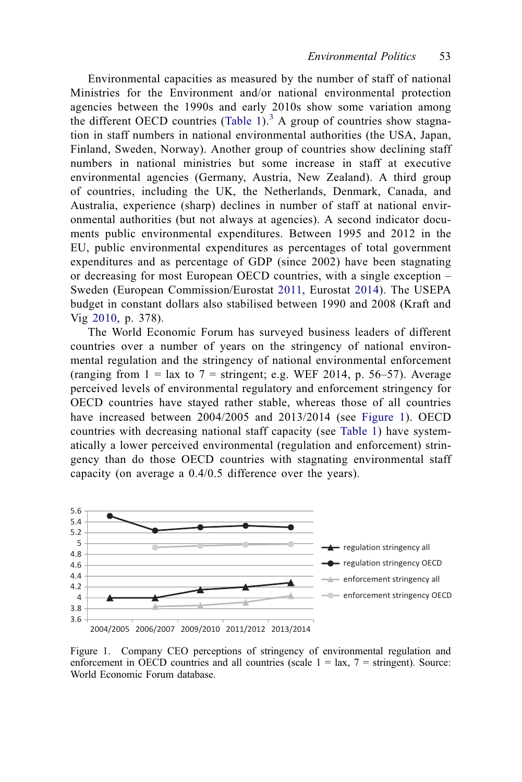Environmental capacities as measured by the number of staff of national Ministries for the Environment and/or national environmental protection agencies between the 1990s and early 2010s show some variation among the different OECD countries ([Table 1](#page-7-0)).<sup>[3](#page-17-0)</sup> A group of countries show stagnation in staff numbers in national environmental authorities (the USA, Japan, Finland, Sweden, Norway). Another group of countries show declining staff numbers in national ministries but some increase in staff at executive environmental agencies (Germany, Austria, New Zealand). A third group of countries, including the UK, the Netherlands, Denmark, Canada, and Australia, experience (sharp) declines in number of staff at national environmental authorities (but not always at agencies). A second indicator documents public environmental expenditures. Between 1995 and 2012 in the EU, public environmental expenditures as percentages of total government expenditures and as percentage of GDP (since 2002) have been stagnating or decreasing for most European OECD countries, with a single exception – Sweden (European Commission/Eurostat [2011](#page-18-0), Eurostat [2014\)](#page-18-0). The USEPA budget in constant dollars also stabilised between 1990 and 2008 (Kraft and Vig [2010](#page-19-0), p. 378).

The World Economic Forum has surveyed business leaders of different countries over a number of years on the stringency of national environmental regulation and the stringency of national environmental enforcement (ranging from  $1 = \text{lux to } 7 = \text{stringent; e.g. WEF } 2014$ , p. 56–57). Average perceived levels of environmental regulatory and enforcement stringency for OECD countries have stayed rather stable, whereas those of all countries have increased between 2004/2005 and 2013/2014 (see Figure 1). OECD countries with decreasing national staff capacity (see [Table 1](#page-7-0)) have systematically a lower perceived environmental (regulation and enforcement) stringency than do those OECD countries with stagnating environmental staff capacity (on average a 0.4/0.5 difference over the years).



Figure 1. Company CEO perceptions of stringency of environmental regulation and enforcement in OECD countries and all countries (scale  $1 = \text{tax}, 7 = \text{stringent}$ ). Source: World Economic Forum database.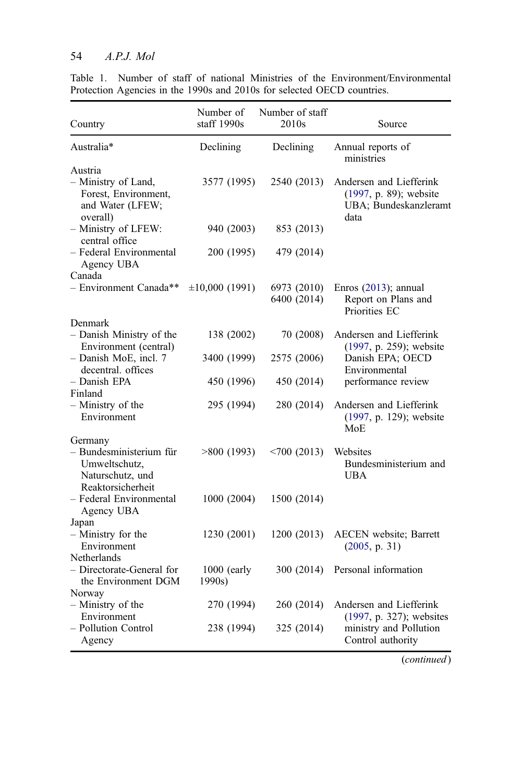## <span id="page-7-0"></span>54 A.P.J. Mol

|                                                                                              | Number of               | Number of staff            |                                                                                    |
|----------------------------------------------------------------------------------------------|-------------------------|----------------------------|------------------------------------------------------------------------------------|
| Country                                                                                      | staff 1990s             | 2010s                      | Source                                                                             |
| Australia*                                                                                   | Declining               | Declining                  | Annual reports of<br>ministries                                                    |
| Austria<br>- Ministry of Land,<br>Forest, Environment,<br>and Water (LFEW;<br>overall)       | 3577 (1995)             | 2540 (2013)                | Andersen and Liefferink<br>(1997, p. 89); website<br>UBA; Bundeskanzleramt<br>data |
| - Ministry of LFEW:<br>central office                                                        | 940 (2003)              | 853 (2013)                 |                                                                                    |
| - Federal Environmental<br>Agency UBA<br>Canada                                              | 200 (1995)              | 479 (2014)                 |                                                                                    |
| - Environment Canada**                                                                       | $\pm 10,000(1991)$      | 6973 (2010)<br>6400 (2014) | Enros $(2013)$ ; annual<br>Report on Plans and<br>Priorities EC                    |
| Denmark<br>- Danish Ministry of the                                                          | 138 (2002)              | 70 (2008)                  | Andersen and Liefferink                                                            |
| Environment (central)                                                                        |                         |                            | (1997, p. 259); website                                                            |
| - Danish MoE, incl. 7<br>decentral. offices                                                  | 3400 (1999)             | 2575 (2006)                | Danish EPA; OECD<br>Environmental                                                  |
| - Danish EPA<br>Finland                                                                      | 450 (1996)              | 450 (2014)                 | performance review                                                                 |
| – Ministry of the<br>Environment                                                             | 295 (1994)              | 280 (2014)                 | Andersen and Liefferink<br>(1997, p. 129); website<br>MoE                          |
| Germany<br>- Bundesministerium für<br>Umweltschutz,<br>Naturschutz, und<br>Reaktorsicherheit | >800(1993)              | $< 700$ (2013)             | Websites<br>Bundesministerium and<br><b>UBA</b>                                    |
| - Federal Environmental<br>Agency UBA                                                        | 1000 (2004)             | 1500 (2014)                |                                                                                    |
| Japan<br>- Ministry for the<br>Environment                                                   | 1230 (2001)             | 1200(2013)                 | AECEN website; Barrett<br>(2005, p. 31)                                            |
| Netherlands<br>- Directorate-General for<br>the Environment DGM                              | $1000$ (early<br>1990s) | 300 (2014)                 | Personal information                                                               |
| Norway<br>- Ministry of the<br>Environment                                                   | 270 (1994)              | 260 (2014)                 | Andersen and Liefferink                                                            |
| - Pollution Control<br>Agency                                                                | 238 (1994)              | 325 (2014)                 | (1997, p. 327); websites<br>ministry and Pollution<br>Control authority            |

Table 1. Number of staff of national Ministries of the Environment/Environmental Protection Agencies in the 1990s and 2010s for selected OECD countries.

(continued)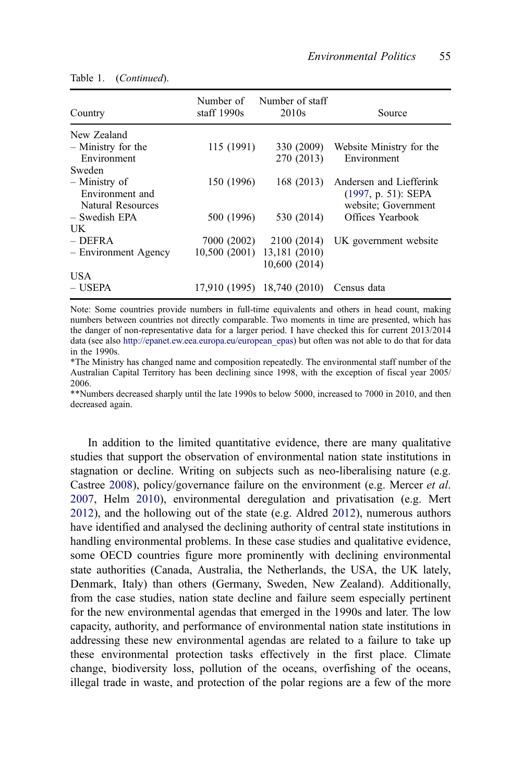| Country              | Number of<br>staff $1990s$ | Number of staff<br>2010 <sub>s</sub> | Source                   |
|----------------------|----------------------------|--------------------------------------|--------------------------|
| New Zealand          |                            |                                      |                          |
| $-$ Ministry for the | 115 (1991)                 | 330 (2009)                           | Website Ministry for the |
| Environment          |                            | 270 (2013)                           | Environment              |
| Sweden               |                            |                                      |                          |
| – Ministry of        | 150 (1996)                 | 168(2013)                            | Andersen and Liefferink  |
| Environment and      |                            |                                      | $(1997, p. 51)$ : SEPA   |
| Natural Resources    |                            |                                      | website; Government      |
| – Swedish EPA        | 500 (1996)                 | 530 (2014)                           | Offices Yearbook         |
| UK                   |                            |                                      |                          |
| $-$ DEFRA            | 7000 (2002)                | 2100 (2014)                          | UK government website    |
| - Environment Agency | 10,500 (2001)              | 13,181 (2010)                        |                          |
|                      |                            | 10,600(2014)                         |                          |
| USA.                 |                            |                                      |                          |
| – USEPA              |                            | 17,910 (1995) 18,740 (2010)          | Census data              |

Table 1. (Continued).

Note: Some countries provide numbers in full-time equivalents and others in head count, making numbers between countries not directly comparable. Two moments in time are presented, which has the danger of non-representative data for a larger period. I have checked this for current 2013/2014 data (see also [http://epanet.ew.eea.europa.eu/european\\_epas\)](http://epanet.ew.eea.europa.eu/european_epas) but often was not able to do that for data in the 1990s.

\*The Ministry has changed name and composition repeatedly. The environmental staff number of the Australian Capital Territory has been declining since 1998, with the exception of fiscal year 2005/ 2006.

\*\*Numbers decreased sharply until the late 1990s to below 5000, increased to 7000 in 2010, and then decreased again.

In addition to the limited quantitative evidence, there are many qualitative studies that support the observation of environmental nation state institutions in stagnation or decline. Writing on subjects such as neo-liberalising nature (e.g. Castree [2008\)](#page-18-0), policy/governance failure on the environment (e.g. Mercer *et al.* [2007,](#page-20-0) Helm [2010](#page-19-0)), environmental deregulation and privatisation (e.g. Mert [2012\)](#page-20-0), and the hollowing out of the state (e.g. Aldred [2012\)](#page-17-0), numerous authors have identified and analysed the declining authority of central state institutions in handling environmental problems. In these case studies and qualitative evidence, some OECD countries figure more prominently with declining environmental state authorities (Canada, Australia, the Netherlands, the USA, the UK lately, Denmark, Italy) than others (Germany, Sweden, New Zealand). Additionally, from the case studies, nation state decline and failure seem especially pertinent for the new environmental agendas that emerged in the 1990s and later. The low capacity, authority, and performance of environmental nation state institutions in addressing these new environmental agendas are related to a failure to take up these environmental protection tasks effectively in the first place. Climate change, biodiversity loss, pollution of the oceans, overfishing of the oceans, illegal trade in waste, and protection of the polar regions are a few of the more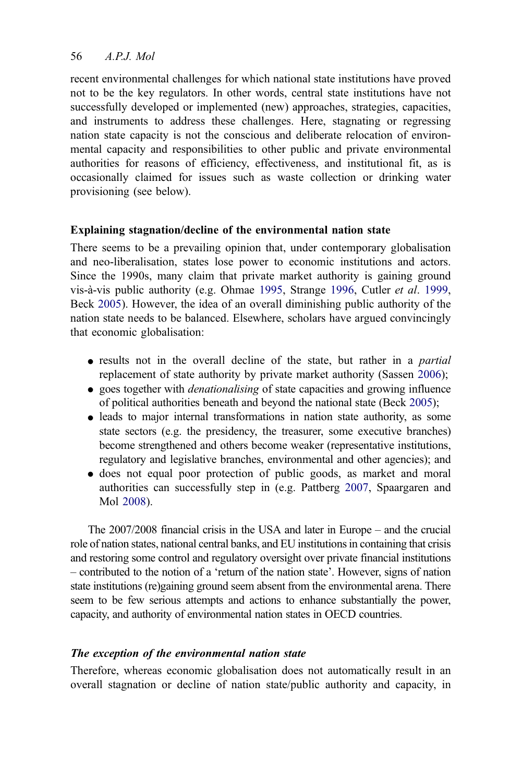recent environmental challenges for which national state institutions have proved not to be the key regulators. In other words, central state institutions have not successfully developed or implemented (new) approaches, strategies, capacities, and instruments to address these challenges. Here, stagnating or regressing nation state capacity is not the conscious and deliberate relocation of environmental capacity and responsibilities to other public and private environmental authorities for reasons of efficiency, effectiveness, and institutional fit, as is occasionally claimed for issues such as waste collection or drinking water provisioning (see below).

## Explaining stagnation/decline of the environmental nation state

There seems to be a prevailing opinion that, under contemporary globalisation and neo-liberalisation, states lose power to economic institutions and actors. Since the 1990s, many claim that private market authority is gaining ground vis-à-vis public authority (e.g. Ohmae [1995,](#page-20-0) Strange [1996](#page-21-0), Cutler et al. [1999,](#page-18-0) Beck [2005](#page-18-0)). However, the idea of an overall diminishing public authority of the nation state needs to be balanced. Elsewhere, scholars have argued convincingly that economic globalisation:

- results not in the overall decline of the state, but rather in a *partial* replacement of state authority by private market authority (Sassen [2006](#page-20-0));
- goes together with *denationalising* of state capacities and growing influence of political authorities beneath and beyond the national state (Beck [2005\)](#page-18-0);
- leads to major internal transformations in nation state authority, as some state sectors (e.g. the presidency, the treasurer, some executive branches) become strengthened and others become weaker (representative institutions, regulatory and legislative branches, environmental and other agencies); and
- does not equal poor protection of public goods, as market and moral authorities can successfully step in (e.g. Pattberg [2007](#page-20-0), Spaargaren and Mol [2008\)](#page-21-0).

The 2007/2008 financial crisis in the USA and later in Europe – and the crucial role of nation states, national central banks, and EU institutions in containing that crisis and restoring some control and regulatory oversight over private financial institutions – contributed to the notion of a 'return of the nation state'. However, signs of nation state institutions (re)gaining ground seem absent from the environmental arena. There seem to be few serious attempts and actions to enhance substantially the power, capacity, and authority of environmental nation states in OECD countries.

## The exception of the environmental nation state

Therefore, whereas economic globalisation does not automatically result in an overall stagnation or decline of nation state/public authority and capacity, in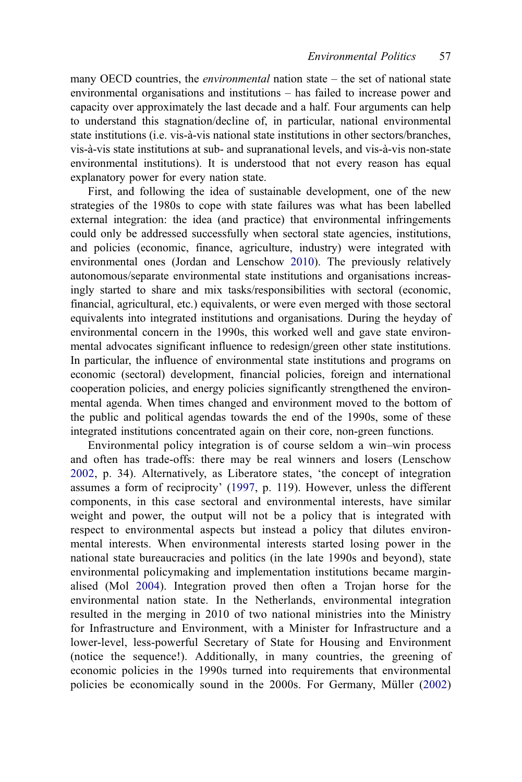many OECD countries, the *environmental* nation state – the set of national state environmental organisations and institutions – has failed to increase power and capacity over approximately the last decade and a half. Four arguments can help to understand this stagnation/decline of, in particular, national environmental state institutions (i.e. vis-à-vis national state institutions in other sectors/branches, vis-à-vis state institutions at sub- and supranational levels, and vis-à-vis non-state environmental institutions). It is understood that not every reason has equal explanatory power for every nation state.

First, and following the idea of sustainable development, one of the new strategies of the 1980s to cope with state failures was what has been labelled external integration: the idea (and practice) that environmental infringements could only be addressed successfully when sectoral state agencies, institutions, and policies (economic, finance, agriculture, industry) were integrated with environmental ones (Jordan and Lenschow [2010](#page-19-0)). The previously relatively autonomous/separate environmental state institutions and organisations increasingly started to share and mix tasks/responsibilities with sectoral (economic, financial, agricultural, etc.) equivalents, or were even merged with those sectoral equivalents into integrated institutions and organisations. During the heyday of environmental concern in the 1990s, this worked well and gave state environmental advocates significant influence to redesign/green other state institutions. In particular, the influence of environmental state institutions and programs on economic (sectoral) development, financial policies, foreign and international cooperation policies, and energy policies significantly strengthened the environmental agenda. When times changed and environment moved to the bottom of the public and political agendas towards the end of the 1990s, some of these integrated institutions concentrated again on their core, non-green functions.

Environmental policy integration is of course seldom a win–win process and often has trade-offs: there may be real winners and losers (Lenschow [2002](#page-19-0), p. 34). Alternatively, as Liberatore states, 'the concept of integration assumes a form of reciprocity' ([1997](#page-19-0), p. 119). However, unless the different components, in this case sectoral and environmental interests, have similar weight and power, the output will not be a policy that is integrated with respect to environmental aspects but instead a policy that dilutes environmental interests. When environmental interests started losing power in the national state bureaucracies and politics (in the late 1990s and beyond), state environmental policymaking and implementation institutions became marginalised (Mol [2004\)](#page-20-0). Integration proved then often a Trojan horse for the environmental nation state. In the Netherlands, environmental integration resulted in the merging in 2010 of two national ministries into the Ministry for Infrastructure and Environment, with a Minister for Infrastructure and a lower-level, less-powerful Secretary of State for Housing and Environment (notice the sequence!). Additionally, in many countries, the greening of economic policies in the 1990s turned into requirements that environmental policies be economically sound in the 2000s. For Germany, Müller ([2002](#page-20-0))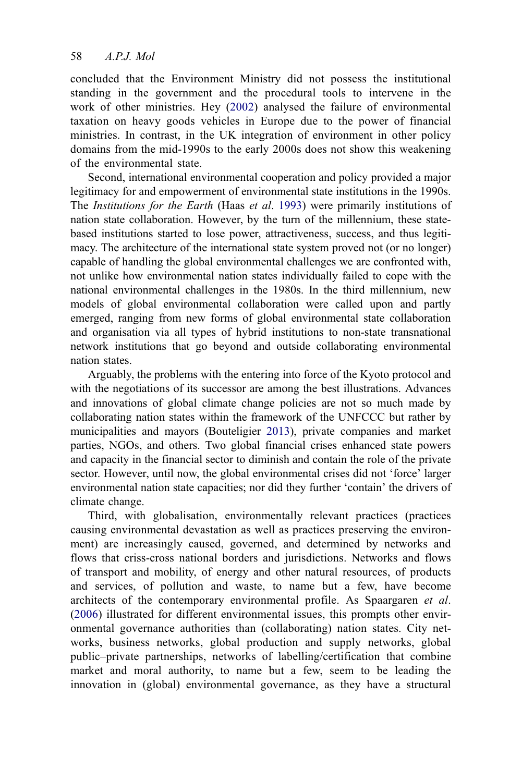concluded that the Environment Ministry did not possess the institutional standing in the government and the procedural tools to intervene in the work of other ministries. Hey ([2002](#page-19-0)) analysed the failure of environmental taxation on heavy goods vehicles in Europe due to the power of financial ministries. In contrast, in the UK integration of environment in other policy domains from the mid-1990s to the early 2000s does not show this weakening of the environmental state.

Second, international environmental cooperation and policy provided a major legitimacy for and empowerment of environmental state institutions in the 1990s. The Institutions for the Earth (Haas et al. [1993](#page-19-0)) were primarily institutions of nation state collaboration. However, by the turn of the millennium, these statebased institutions started to lose power, attractiveness, success, and thus legitimacy. The architecture of the international state system proved not (or no longer) capable of handling the global environmental challenges we are confronted with, not unlike how environmental nation states individually failed to cope with the national environmental challenges in the 1980s. In the third millennium, new models of global environmental collaboration were called upon and partly emerged, ranging from new forms of global environmental state collaboration and organisation via all types of hybrid institutions to non-state transnational network institutions that go beyond and outside collaborating environmental nation states.

Arguably, the problems with the entering into force of the Kyoto protocol and with the negotiations of its successor are among the best illustrations. Advances and innovations of global climate change policies are not so much made by collaborating nation states within the framework of the UNFCCC but rather by municipalities and mayors (Bouteligier [2013\)](#page-18-0), private companies and market parties, NGOs, and others. Two global financial crises enhanced state powers and capacity in the financial sector to diminish and contain the role of the private sector. However, until now, the global environmental crises did not 'force' larger environmental nation state capacities; nor did they further 'contain' the drivers of climate change.

Third, with globalisation, environmentally relevant practices (practices causing environmental devastation as well as practices preserving the environment) are increasingly caused, governed, and determined by networks and flows that criss-cross national borders and jurisdictions. Networks and flows of transport and mobility, of energy and other natural resources, of products and services, of pollution and waste, to name but a few, have become architects of the contemporary environmental profile. As Spaargaren et al. ([2006](#page-21-0)) illustrated for different environmental issues, this prompts other environmental governance authorities than (collaborating) nation states. City networks, business networks, global production and supply networks, global public–private partnerships, networks of labelling/certification that combine market and moral authority, to name but a few, seem to be leading the innovation in (global) environmental governance, as they have a structural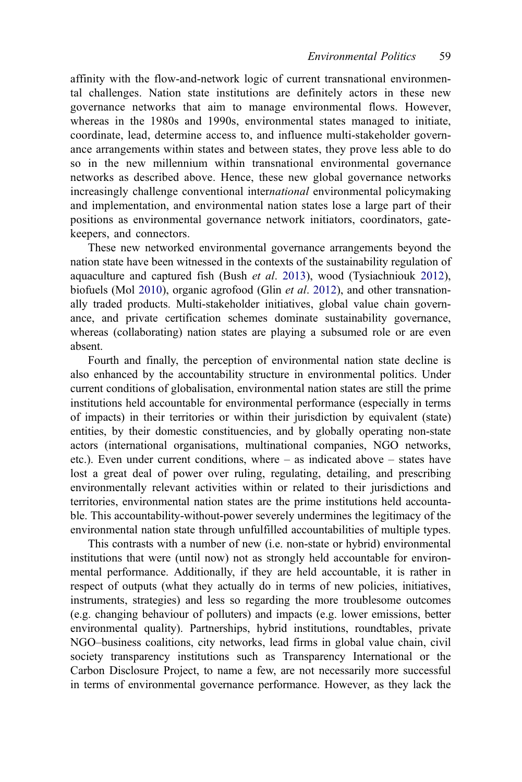affinity with the flow-and-network logic of current transnational environmental challenges. Nation state institutions are definitely actors in these new governance networks that aim to manage environmental flows. However, whereas in the 1980s and 1990s, environmental states managed to initiate, coordinate, lead, determine access to, and influence multi-stakeholder governance arrangements within states and between states, they prove less able to do so in the new millennium within transnational environmental governance networks as described above. Hence, these new global governance networks increasingly challenge conventional international environmental policymaking and implementation, and environmental nation states lose a large part of their positions as environmental governance network initiators, coordinators, gatekeepers, and connectors.

These new networked environmental governance arrangements beyond the nation state have been witnessed in the contexts of the sustainability regulation of aquaculture and captured fish (Bush et al. [2013\)](#page-18-0), wood (Tysiachniouk [2012\)](#page-21-0), biofuels (Mol [2010\)](#page-20-0), organic agrofood (Glin *et al.* [2012\)](#page-18-0), and other transnationally traded products. Multi-stakeholder initiatives, global value chain governance, and private certification schemes dominate sustainability governance, whereas (collaborating) nation states are playing a subsumed role or are even absent.

Fourth and finally, the perception of environmental nation state decline is also enhanced by the accountability structure in environmental politics. Under current conditions of globalisation, environmental nation states are still the prime institutions held accountable for environmental performance (especially in terms of impacts) in their territories or within their jurisdiction by equivalent (state) entities, by their domestic constituencies, and by globally operating non-state actors (international organisations, multinational companies, NGO networks, etc.). Even under current conditions, where – as indicated above – states have lost a great deal of power over ruling, regulating, detailing, and prescribing environmentally relevant activities within or related to their jurisdictions and territories, environmental nation states are the prime institutions held accountable. This accountability-without-power severely undermines the legitimacy of the environmental nation state through unfulfilled accountabilities of multiple types.

This contrasts with a number of new (i.e. non-state or hybrid) environmental institutions that were (until now) not as strongly held accountable for environmental performance. Additionally, if they are held accountable, it is rather in respect of outputs (what they actually do in terms of new policies, initiatives, instruments, strategies) and less so regarding the more troublesome outcomes (e.g. changing behaviour of polluters) and impacts (e.g. lower emissions, better environmental quality). Partnerships, hybrid institutions, roundtables, private NGO–business coalitions, city networks, lead firms in global value chain, civil society transparency institutions such as Transparency International or the Carbon Disclosure Project, to name a few, are not necessarily more successful in terms of environmental governance performance. However, as they lack the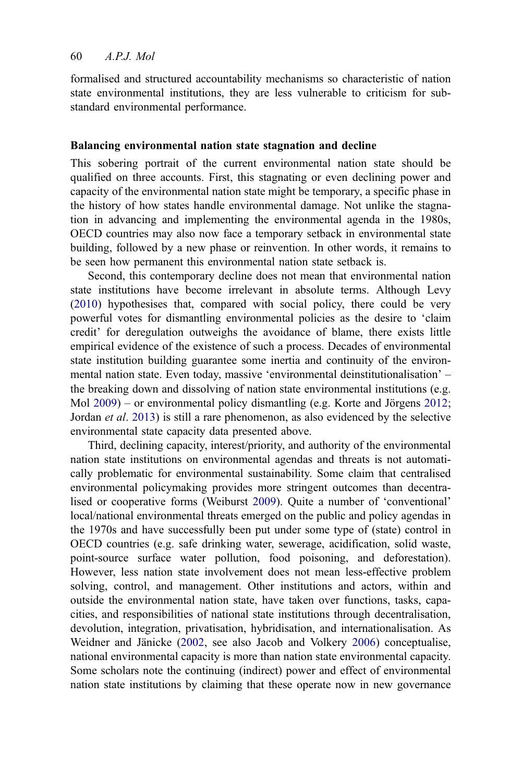formalised and structured accountability mechanisms so characteristic of nation state environmental institutions, they are less vulnerable to criticism for substandard environmental performance.

#### Balancing environmental nation state stagnation and decline

This sobering portrait of the current environmental nation state should be qualified on three accounts. First, this stagnating or even declining power and capacity of the environmental nation state might be temporary, a specific phase in the history of how states handle environmental damage. Not unlike the stagnation in advancing and implementing the environmental agenda in the 1980s, OECD countries may also now face a temporary setback in environmental state building, followed by a new phase or reinvention. In other words, it remains to be seen how permanent this environmental nation state setback is.

Second, this contemporary decline does not mean that environmental nation state institutions have become irrelevant in absolute terms. Although Levy ([2010\)](#page-19-0) hypothesises that, compared with social policy, there could be very powerful votes for dismantling environmental policies as the desire to 'claim credit' for deregulation outweighs the avoidance of blame, there exists little empirical evidence of the existence of such a process. Decades of environmental state institution building guarantee some inertia and continuity of the environmental nation state. Even today, massive 'environmental deinstitutionalisation' – the breaking down and dissolving of nation state environmental institutions (e.g. Mol [2009](#page-20-0)) – or environmental policy dismantling (e.g. Korte and Jörgens [2012;](#page-19-0) Jordan et al. [2013\)](#page-19-0) is still a rare phenomenon, as also evidenced by the selective environmental state capacity data presented above.

Third, declining capacity, interest/priority, and authority of the environmental nation state institutions on environmental agendas and threats is not automatically problematic for environmental sustainability. Some claim that centralised environmental policymaking provides more stringent outcomes than decentralised or cooperative forms (Weiburst [2009](#page-21-0)). Quite a number of 'conventional' local/national environmental threats emerged on the public and policy agendas in the 1970s and have successfully been put under some type of (state) control in OECD countries (e.g. safe drinking water, sewerage, acidification, solid waste, point-source surface water pollution, food poisoning, and deforestation). However, less nation state involvement does not mean less-effective problem solving, control, and management. Other institutions and actors, within and outside the environmental nation state, have taken over functions, tasks, capacities, and responsibilities of national state institutions through decentralisation, devolution, integration, privatisation, hybridisation, and internationalisation. As Weidner and Jänicke [\(2002](#page-21-0), see also Jacob and Volkery [2006\)](#page-19-0) conceptualise, national environmental capacity is more than nation state environmental capacity. Some scholars note the continuing (indirect) power and effect of environmental nation state institutions by claiming that these operate now in new governance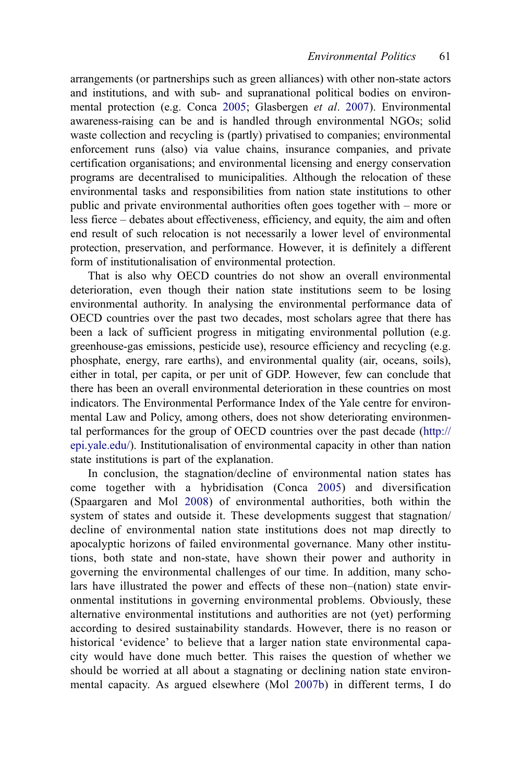arrangements (or partnerships such as green alliances) with other non-state actors and institutions, and with sub- and supranational political bodies on environmental protection (e.g. Conca [2005;](#page-18-0) Glasbergen et al. [2007](#page-18-0)). Environmental awareness-raising can be and is handled through environmental NGOs; solid waste collection and recycling is (partly) privatised to companies; environmental enforcement runs (also) via value chains, insurance companies, and private certification organisations; and environmental licensing and energy conservation programs are decentralised to municipalities. Although the relocation of these environmental tasks and responsibilities from nation state institutions to other public and private environmental authorities often goes together with – more or less fierce – debates about effectiveness, efficiency, and equity, the aim and often end result of such relocation is not necessarily a lower level of environmental protection, preservation, and performance. However, it is definitely a different form of institutionalisation of environmental protection.

That is also why OECD countries do not show an overall environmental deterioration, even though their nation state institutions seem to be losing environmental authority. In analysing the environmental performance data of OECD countries over the past two decades, most scholars agree that there has been a lack of sufficient progress in mitigating environmental pollution (e.g. greenhouse-gas emissions, pesticide use), resource efficiency and recycling (e.g. phosphate, energy, rare earths), and environmental quality (air, oceans, soils), either in total, per capita, or per unit of GDP. However, few can conclude that there has been an overall environmental deterioration in these countries on most indicators. The Environmental Performance Index of the Yale centre for environmental Law and Policy, among others, does not show deteriorating environmental performances for the group of OECD countries over the past decade ([http://](http://epi.yale.edu/) [epi.yale.edu/](http://epi.yale.edu/)). Institutionalisation of environmental capacity in other than nation state institutions is part of the explanation.

In conclusion, the stagnation/decline of environmental nation states has come together with a hybridisation (Conca [2005\)](#page-18-0) and diversification (Spaargaren and Mol [2008](#page-21-0)) of environmental authorities, both within the system of states and outside it. These developments suggest that stagnation/ decline of environmental nation state institutions does not map directly to apocalyptic horizons of failed environmental governance. Many other institutions, both state and non-state, have shown their power and authority in governing the environmental challenges of our time. In addition, many scholars have illustrated the power and effects of these non–(nation) state environmental institutions in governing environmental problems. Obviously, these alternative environmental institutions and authorities are not (yet) performing according to desired sustainability standards. However, there is no reason or historical 'evidence' to believe that a larger nation state environmental capacity would have done much better. This raises the question of whether we should be worried at all about a stagnating or declining nation state environmental capacity. As argued elsewhere (Mol [2007b](#page-20-0)) in different terms, I do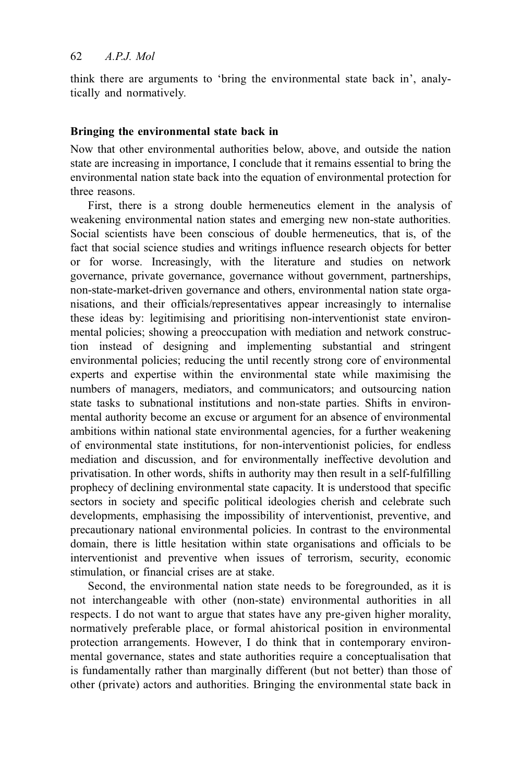think there are arguments to 'bring the environmental state back in', analytically and normatively.

## Bringing the environmental state back in

Now that other environmental authorities below, above, and outside the nation state are increasing in importance, I conclude that it remains essential to bring the environmental nation state back into the equation of environmental protection for three reasons.

First, there is a strong double hermeneutics element in the analysis of weakening environmental nation states and emerging new non-state authorities. Social scientists have been conscious of double hermeneutics, that is, of the fact that social science studies and writings influence research objects for better or for worse. Increasingly, with the literature and studies on network governance, private governance, governance without government, partnerships, non-state-market-driven governance and others, environmental nation state organisations, and their officials/representatives appear increasingly to internalise these ideas by: legitimising and prioritising non-interventionist state environmental policies; showing a preoccupation with mediation and network construction instead of designing and implementing substantial and stringent environmental policies; reducing the until recently strong core of environmental experts and expertise within the environmental state while maximising the numbers of managers, mediators, and communicators; and outsourcing nation state tasks to subnational institutions and non-state parties. Shifts in environmental authority become an excuse or argument for an absence of environmental ambitions within national state environmental agencies, for a further weakening of environmental state institutions, for non-interventionist policies, for endless mediation and discussion, and for environmentally ineffective devolution and privatisation. In other words, shifts in authority may then result in a self-fulfilling prophecy of declining environmental state capacity. It is understood that specific sectors in society and specific political ideologies cherish and celebrate such developments, emphasising the impossibility of interventionist, preventive, and precautionary national environmental policies. In contrast to the environmental domain, there is little hesitation within state organisations and officials to be interventionist and preventive when issues of terrorism, security, economic stimulation, or financial crises are at stake.

Second, the environmental nation state needs to be foregrounded, as it is not interchangeable with other (non-state) environmental authorities in all respects. I do not want to argue that states have any pre-given higher morality, normatively preferable place, or formal ahistorical position in environmental protection arrangements. However, I do think that in contemporary environmental governance, states and state authorities require a conceptualisation that is fundamentally rather than marginally different (but not better) than those of other (private) actors and authorities. Bringing the environmental state back in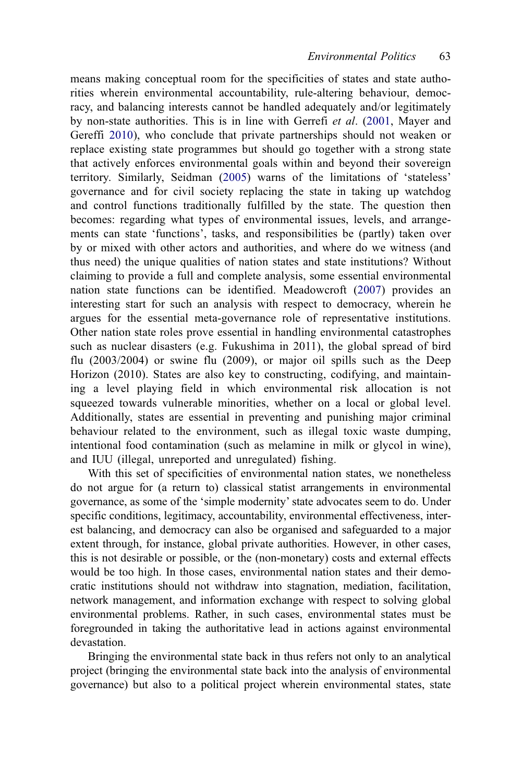means making conceptual room for the specificities of states and state authorities wherein environmental accountability, rule-altering behaviour, democracy, and balancing interests cannot be handled adequately and/or legitimately by non-state authorities. This is in line with Gerrefi et al. ([2001](#page-18-0), Mayer and Gereffi [2010\)](#page-20-0), who conclude that private partnerships should not weaken or replace existing state programmes but should go together with a strong state that actively enforces environmental goals within and beyond their sovereign territory. Similarly, Seidman ([2005](#page-20-0)) warns of the limitations of 'stateless' governance and for civil society replacing the state in taking up watchdog and control functions traditionally fulfilled by the state. The question then becomes: regarding what types of environmental issues, levels, and arrangements can state 'functions', tasks, and responsibilities be (partly) taken over by or mixed with other actors and authorities, and where do we witness (and thus need) the unique qualities of nation states and state institutions? Without claiming to provide a full and complete analysis, some essential environmental nation state functions can be identified. Meadowcroft [\(2007](#page-20-0)) provides an interesting start for such an analysis with respect to democracy, wherein he argues for the essential meta-governance role of representative institutions. Other nation state roles prove essential in handling environmental catastrophes such as nuclear disasters (e.g. Fukushima in 2011), the global spread of bird flu (2003/2004) or swine flu (2009), or major oil spills such as the Deep Horizon (2010). States are also key to constructing, codifying, and maintaining a level playing field in which environmental risk allocation is not squeezed towards vulnerable minorities, whether on a local or global level. Additionally, states are essential in preventing and punishing major criminal behaviour related to the environment, such as illegal toxic waste dumping, intentional food contamination (such as melamine in milk or glycol in wine), and IUU (illegal, unreported and unregulated) fishing.

With this set of specificities of environmental nation states, we nonetheless do not argue for (a return to) classical statist arrangements in environmental governance, as some of the 'simple modernity' state advocates seem to do. Under specific conditions, legitimacy, accountability, environmental effectiveness, interest balancing, and democracy can also be organised and safeguarded to a major extent through, for instance, global private authorities. However, in other cases, this is not desirable or possible, or the (non-monetary) costs and external effects would be too high. In those cases, environmental nation states and their democratic institutions should not withdraw into stagnation, mediation, facilitation, network management, and information exchange with respect to solving global environmental problems. Rather, in such cases, environmental states must be foregrounded in taking the authoritative lead in actions against environmental devastation.

Bringing the environmental state back in thus refers not only to an analytical project (bringing the environmental state back into the analysis of environmental governance) but also to a political project wherein environmental states, state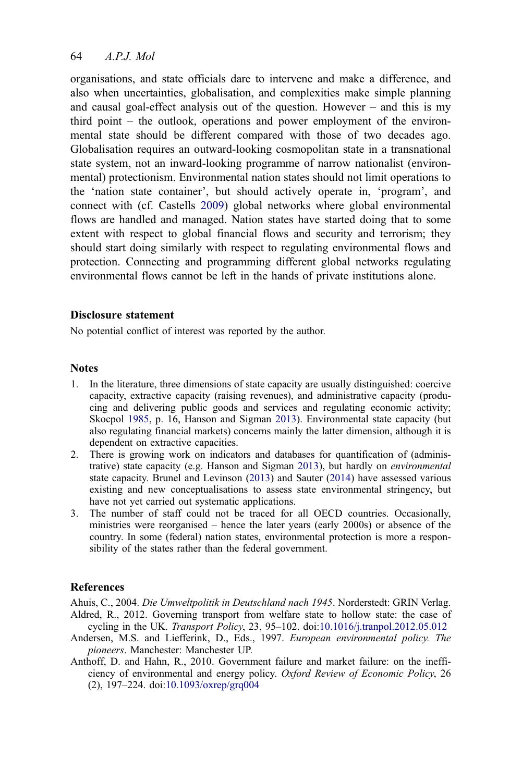## <span id="page-17-0"></span>64 A.P.J. Mol

organisations, and state officials dare to intervene and make a difference, and also when uncertainties, globalisation, and complexities make simple planning and causal goal-effect analysis out of the question. However – and this is my third point – the outlook, operations and power employment of the environmental state should be different compared with those of two decades ago. Globalisation requires an outward-looking cosmopolitan state in a transnational state system, not an inward-looking programme of narrow nationalist (environmental) protectionism. Environmental nation states should not limit operations to the 'nation state container', but should actively operate in, 'program', and connect with (cf. Castells [2009](#page-18-0)) global networks where global environmental flows are handled and managed. Nation states have started doing that to some extent with respect to global financial flows and security and terrorism; they should start doing similarly with respect to regulating environmental flows and protection. Connecting and programming different global networks regulating environmental flows cannot be left in the hands of private institutions alone.

#### Disclosure statement

No potential conflict of interest was reported by the author.

#### **Notes**

- 1. In the literature, three dimensions of state capacity are usually distinguished: coercive capacity, extractive capacity (raising revenues), and administrative capacity (producing and delivering public goods and services and regulating economic activity; Skocpol [1985](#page-21-0), p. 16, Hanson and Sigman [2013](#page-19-0)). Environmental state capacity (but also regulating financial markets) concerns mainly the latter dimension, although it is dependent on extractive capacities.
- 2. There is growing work on indicators and databases for quantification of (administrative) state capacity (e.g. Hanson and Sigman [2013](#page-19-0)), but hardly on environmental state capacity. Brunel and Levinson [\(2013](#page-18-0)) and Sauter ([2014\)](#page-20-0) have assessed various existing and new conceptualisations to assess state environmental stringency, but have not yet carried out systematic applications.
- 3. The number of staff could not be traced for all OECD countries. Occasionally, ministries were reorganised – hence the later years (early 2000s) or absence of the country. In some (federal) nation states, environmental protection is more a responsibility of the states rather than the federal government.

## References

Ahuis, C., 2004. Die Umweltpolitik in Deutschland nach 1945. Norderstedt: GRIN Verlag. Aldred, R., 2012. Governing transport from welfare state to hollow state: the case of cycling in the UK. Transport Policy, 23, 95–102. doi:[10.1016/j.tranpol.2012.05.012](http://dx.doi.org/10.1016/j.tranpol.2012.05.012)

- Andersen, M.S. and Liefferink, D., Eds., 1997. European environmental policy. The pioneers. Manchester: Manchester UP.
- Anthoff, D. and Hahn, R., 2010. Government failure and market failure: on the inefficiency of environmental and energy policy. Oxford Review of Economic Policy, 26 (2), 197–224. doi:[10.1093/oxrep/grq004](http://dx.doi.org/10.1093/oxrep/grq004)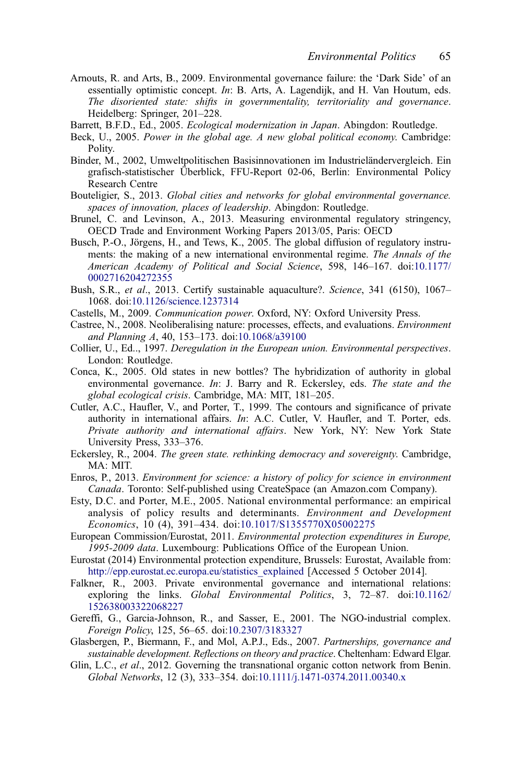- <span id="page-18-0"></span>Arnouts, R. and Arts, B., 2009. Environmental governance failure: the 'Dark Side' of an essentially optimistic concept. In: B. Arts, A. Lagendijk, and H. Van Houtum, eds. The disoriented state: shifts in governmentality, territoriality and governance. Heidelberg: Springer, 201–228.
- Barrett, B.F.D., Ed., 2005. Ecological modernization in Japan. Abingdon: Routledge.
- Beck, U., 2005. Power in the global age. A new global political economy. Cambridge: Polity.
- Binder, M., 2002, Umweltpolitischen Basisinnovationen im Industrieländervergleich. Ein grafisch-statistischer Überblick, FFU-Report 02-06, Berlin: Environmental Policy Research Centre
- Bouteligier, S., 2013. Global cities and networks for global environmental governance. spaces of innovation, places of leadership. Abingdon: Routledge.
- Brunel, C. and Levinson, A., 2013. Measuring environmental regulatory stringency, OECD Trade and Environment Working Papers 2013/05, Paris: OECD
- Busch, P.-O., Jörgens, H., and Tews, K., 2005. The global diffusion of regulatory instruments: the making of a new international environmental regime. The Annals of the American Academy of Political and Social Science, 598, 146–167. doi:[10.1177/](http://dx.doi.org/10.1177/0002716204272355) [0002716204272355](http://dx.doi.org/10.1177/0002716204272355)
- Bush, S.R., et al., 2013. Certify sustainable aquaculture?. Science, 341 (6150), 1067– 1068. doi:[10.1126/science.1237314](http://dx.doi.org/10.1126/science.1237314)
- Castells, M., 2009. Communication power. Oxford, NY: Oxford University Press.
- Castree, N., 2008. Neoliberalising nature: processes, effects, and evaluations. Environment and Planning A, 40, 153–173. doi:[10.1068/a39100](http://dx.doi.org/10.1068/a39100)
- Collier, U., Ed.., 1997. Deregulation in the European union. Environmental perspectives. London: Routledge.
- Conca, K., 2005. Old states in new bottles? The hybridization of authority in global environmental governance. In: J. Barry and R. Eckersley, eds. The state and the global ecological crisis. Cambridge, MA: MIT, 181–205.
- Cutler, A.C., Haufler, V., and Porter, T., 1999. The contours and significance of private authority in international affairs. In: A.C. Cutler, V. Haufler, and T. Porter, eds. Private authority and international affairs. New York, NY: New York State University Press, 333–376.
- Eckersley, R., 2004. The green state. rethinking democracy and sovereignty. Cambridge, MA: MIT.
- Enros, P., 2013. Environment for science: a history of policy for science in environment Canada. Toronto: Self-published using CreateSpace (an Amazon.com Company).
- Esty, D.C. and Porter, M.E., 2005. National environmental performance: an empirical analysis of policy results and determinants. Environment and Development Economics, 10 (4), 391–434. doi:[10.1017/S1355770X05002275](http://dx.doi.org/10.1017/S1355770X05002275)
- European Commission/Eurostat, 2011. Environmental protection expenditures in Europe, 1995-2009 data. Luxembourg: Publications Office of the European Union.
- Eurostat (2014) Environmental protection expenditure, Brussels: Eurostat, Available from: [http://epp.eurostat.ec.europa.eu/statistics\\_explained](http://epp.eurostat.ec.europa.eu/statistics_explained) [Accessed 5 October 2014].
- Falkner, R., 2003. Private environmental governance and international relations: exploring the links. Global Environmental Politics, 3, 72–87. doi:[10.1162/](http://dx.doi.org/10.1162/152638003322068227) [152638003322068227](http://dx.doi.org/10.1162/152638003322068227)
- Gereffi, G., Garcia-Johnson, R., and Sasser, E., 2001. The NGO-industrial complex. Foreign Policy, 125, 56–65. doi:[10.2307/3183327](http://dx.doi.org/10.2307/3183327)
- Glasbergen, P., Biermann, F., and Mol, A.P.J., Eds., 2007. Partnerships, governance and sustainable development. Reflections on theory and practice. Cheltenham: Edward Elgar.
- Glin, L.C., et al., 2012. Governing the transnational organic cotton network from Benin. Global Networks, 12 (3), 333–354. doi:[10.1111/j.1471-0374.2011.00340.x](http://dx.doi.org/10.1111/j.1471-0374.2011.00340.x)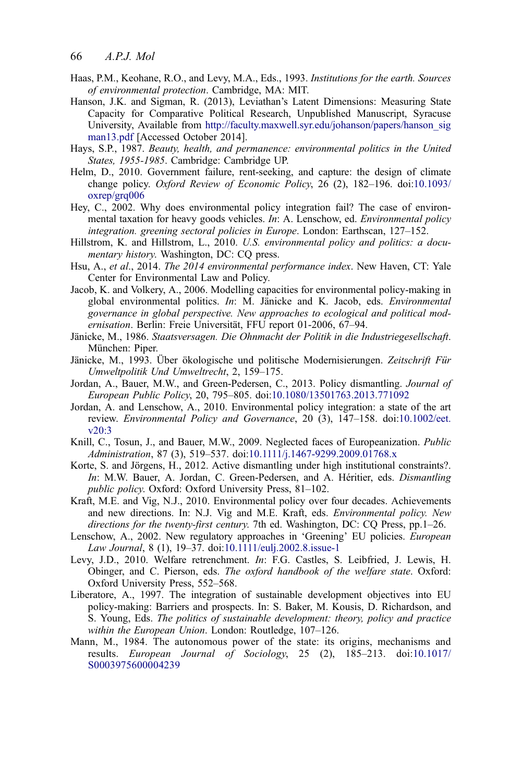- <span id="page-19-0"></span>Haas, P.M., Keohane, R.O., and Levy, M.A., Eds., 1993. Institutions for the earth. Sources of environmental protection. Cambridge, MA: MIT.
- Hanson, J.K. and Sigman, R. (2013), Leviathan's Latent Dimensions: Measuring State Capacity for Comparative Political Research, Unpublished Manuscript, Syracuse University, Available from [http://faculty.maxwell.syr.edu/johanson/papers/hanson\\_sig](http://faculty.maxwell.syr.edu/johanson/papers/hanson_sigman13.pdf) [man13.pdf](http://faculty.maxwell.syr.edu/johanson/papers/hanson_sigman13.pdf) [Accessed October 2014].
- Hays, S.P., 1987. Beauty, health, and permanence: environmental politics in the United States, 1955-1985. Cambridge: Cambridge UP.
- Helm, D., 2010. Government failure, rent-seeking, and capture: the design of climate change policy. Oxford Review of Economic Policy, 26 (2), 182–196. doi:[10.1093/](http://dx.doi.org/10.1093/oxrep/grq006) [oxrep/grq006](http://dx.doi.org/10.1093/oxrep/grq006)
- Hey, C., 2002. Why does environmental policy integration fail? The case of environmental taxation for heavy goods vehicles. In: A. Lenschow, ed. Environmental policy integration. greening sectoral policies in Europe. London: Earthscan, 127–152.
- Hillstrom, K. and Hillstrom, L., 2010. U.S. environmental policy and politics: a documentary history. Washington, DC: CQ press.
- Hsu, A., et al., 2014. The 2014 environmental performance index. New Haven, CT: Yale Center for Environmental Law and Policy.
- Jacob, K. and Volkery, A., 2006. Modelling capacities for environmental policy-making in global environmental politics. In: M. Jänicke and K. Jacob, eds. Environmental governance in global perspective. New approaches to ecological and political modernisation. Berlin: Freie Universität, FFU report 01-2006, 67–94.
- Jänicke, M., 1986. Staatsversagen. Die Ohnmacht der Politik in die Industriegesellschaft. München: Piper.
- Jänicke, M., 1993. Über ökologische und politische Modernisierungen. Zeitschrift Für Umweltpolitik Und Umweltrecht, 2, 159–175.
- Jordan, A., Bauer, M.W., and Green-Pedersen, C., 2013. Policy dismantling. Journal of European Public Policy, 20, 795–805. doi:[10.1080/13501763.2013.771092](http://dx.doi.org/10.1080/13501763.2013.771092)
- Jordan, A. and Lenschow, A., 2010. Environmental policy integration: a state of the art review. Environmental Policy and Governance, 20 (3), 147–158. doi:[10.1002/eet.](http://dx.doi.org/10.1002/eet.v20:3) [v20:3](http://dx.doi.org/10.1002/eet.v20:3)
- Knill, C., Tosun, J., and Bauer, M.W., 2009. Neglected faces of Europeanization. *Public* Administration, 87 (3), 519–537. doi:[10.1111/j.1467-9299.2009.01768.x](http://dx.doi.org/10.1111/j.1467-9299.2009.01768.x)
- Korte, S. and Jörgens, H., 2012. Active dismantling under high institutional constraints?. In: M.W. Bauer, A. Jordan, C. Green-Pedersen, and A. Héritier, eds. Dismantling public policy. Oxford: Oxford University Press, 81–102.
- Kraft, M.E. and Vig, N.J., 2010. Environmental policy over four decades. Achievements and new directions. In: N.J. Vig and M.E. Kraft, eds. Environmental policy. New directions for the twenty-first century. 7th ed. Washington, DC: CQ Press, pp.1–26.
- Lenschow, A., 2002. New regulatory approaches in 'Greening' EU policies. European Law Journal, 8 (1), 19–37. doi:[10.1111/eulj.2002.8.issue-1](http://dx.doi.org/10.1111/eulj.2002.8.issue-1)
- Levy, J.D., 2010. Welfare retrenchment. In: F.G. Castles, S. Leibfried, J. Lewis, H. Obinger, and C. Pierson, eds. The oxford handbook of the welfare state. Oxford: Oxford University Press, 552–568.
- Liberatore, A., 1997. The integration of sustainable development objectives into EU policy-making: Barriers and prospects. In: S. Baker, M. Kousis, D. Richardson, and S. Young, Eds. The politics of sustainable development: theory, policy and practice within the European Union. London: Routledge, 107-126.
- Mann, M., 1984. The autonomous power of the state: its origins, mechanisms and results. European Journal of Sociology, 25 (2), 185–213. doi:[10.1017/](http://dx.doi.org/10.1017/S0003975600004239) [S0003975600004239](http://dx.doi.org/10.1017/S0003975600004239)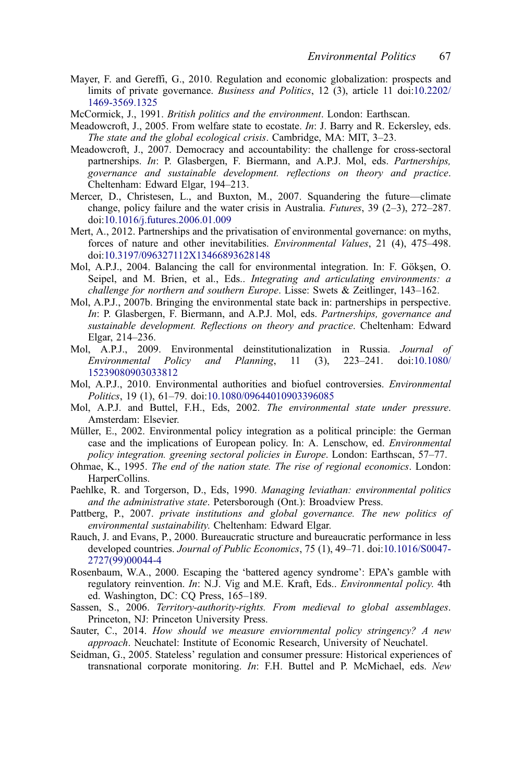- <span id="page-20-0"></span>Mayer, F. and Gereffi, G., 2010. Regulation and economic globalization: prospects and limits of private governance. Business and Politics, 12 (3), article 11 doi:[10.2202/](http://dx.doi.org/10.2202/1469-3569.1325) [1469-3569.1325](http://dx.doi.org/10.2202/1469-3569.1325)
- McCormick, J., 1991. British politics and the environment. London: Earthscan.
- Meadowcroft, J., 2005. From welfare state to ecostate. In: J. Barry and R. Eckersley, eds. The state and the global ecological crisis. Cambridge, MA: MIT, 3–23.
- Meadowcroft, J., 2007. Democracy and accountability: the challenge for cross-sectoral partnerships. In: P. Glasbergen, F. Biermann, and A.P.J. Mol, eds. Partnerships, governance and sustainable development. reflections on theory and practice. Cheltenham: Edward Elgar, 194–213.
- Mercer, D., Christesen, L., and Buxton, M., 2007. Squandering the future—climate change, policy failure and the water crisis in Australia. Futures, 39 (2–3), 272–287. doi:[10.1016/j.futures.2006.01.009](http://dx.doi.org/10.1016/j.futures.2006.01.009)
- Mert, A., 2012. Partnerships and the privatisation of environmental governance: on myths, forces of nature and other inevitabilities. Environmental Values, 21 (4), 475–498. doi:[10.3197/096327112X13466893628148](http://dx.doi.org/10.3197/096327112X13466893628148)
- Mol, A.P.J., 2004. Balancing the call for environmental integration. In: F. Gökşen, O. Seipel, and M. Brien, et al., Eds.. *Integrating and articulating environments: a* challenge for northern and southern Europe. Lisse: Swets & Zeitlinger, 143–162.
- Mol, A.P.J., 2007b. Bringing the environmental state back in: partnerships in perspective. In: P. Glasbergen, F. Biermann, and A.P.J. Mol, eds. Partnerships, governance and sustainable development. Reflections on theory and practice. Cheltenham: Edward Elgar, 214–236.
- Mol, A.P.J., 2009. Environmental deinstitutionalization in Russia. Journal of Environmental Policy and Planning, 11 (3), 223–241. doi:10.1080/ Environmental Policy and Planning, 11 (3), 223–241. doi:[10.1080/](http://dx.doi.org/10.1080/15239080903033812) [15239080903033812](http://dx.doi.org/10.1080/15239080903033812)
- Mol, A.P.J., 2010. Environmental authorities and biofuel controversies. Environmental Politics, 19 (1), 61–79. doi:[10.1080/09644010903396085](http://dx.doi.org/10.1080/09644010903396085)
- Mol, A.P.J. and Buttel, F.H., Eds, 2002. The environmental state under pressure. Amsterdam: Elsevier.
- Müller, E., 2002. Environmental policy integration as a political principle: the German case and the implications of European policy. In: A. Lenschow, ed. Environmental policy integration. greening sectoral policies in Europe. London: Earthscan, 57–77.
- Ohmae, K., 1995. The end of the nation state. The rise of regional economics. London: HarperCollins.
- Paehlke, R. and Torgerson, D., Eds, 1990. Managing leviathan: environmental politics and the administrative state. Petersborough (Ont.): Broadview Press.
- Pattberg, P., 2007. private institutions and global governance. The new politics of environmental sustainability. Cheltenham: Edward Elgar.
- Rauch, J. and Evans, P., 2000. Bureaucratic structure and bureaucratic performance in less developed countries. Journal of Public Economics, 75 (1), 49-71. doi:[10.1016/S0047-](http://dx.doi.org/10.1016/S0047-2727(99)00044-4) [2727\(99\)00044-4](http://dx.doi.org/10.1016/S0047-2727(99)00044-4)
- Rosenbaum, W.A., 2000. Escaping the 'battered agency syndrome': EPA's gamble with regulatory reinvention. In: N.J. Vig and M.E. Kraft, Eds.. Environmental policy. 4th ed. Washington, DC: CQ Press, 165–189.
- Sassen, S., 2006. Territory-authority-rights. From medieval to global assemblages. Princeton, NJ: Princeton University Press.
- Sauter, C., 2014. How should we measure enviornmental policy stringency? A new approach. Neuchatel: Institute of Economic Research, University of Neuchatel.
- Seidman, G., 2005. Stateless' regulation and consumer pressure: Historical experiences of transnational corporate monitoring. In: F.H. Buttel and P. McMichael, eds. New